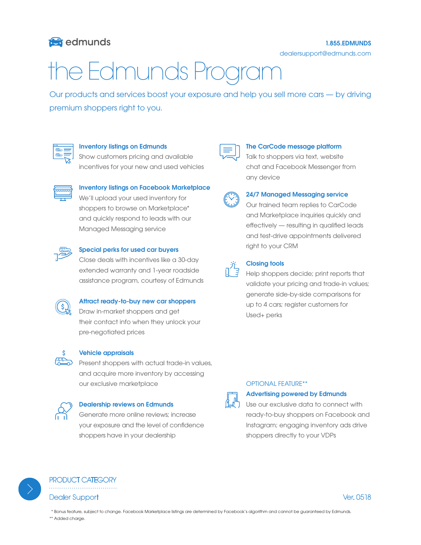# **to** edmunds

dealersupport@edmunds.com

# the Edmunds Program

Our products and services boost your exposure and help you sell more cars — by driving premium shoppers right to you.



### Inventory listings on Edmunds

Show customers pricing and available incentives for your new and used vehicles



### Inventory listings on Facebook Marketplace

We'll upload your used inventory for shoppers to browse on Marketplace\* and quickly respond to leads with our Managed Messaging service



### Special perks for used car buyers

Close deals with incentives like a 30-day extended warranty and 1-year roadside assistance program, courtesy of Edmunds



### Attract ready-to-buy new car shoppers

Draw in-market shoppers and get their contact info when they unlock your pre-negotiated prices



#### Vehicle appraisals

 $\overline{\text{P}}$  Present shoppers with actual trade-in values, and acquire more inventory by accessing our exclusive marketplace



### Dealership reviews on Edmunds

Generate more online reviews; increase your exposure and the level of confidence shoppers have in your dealership

#### The CarCode message platform

Talk to shoppers via text, website chat and Facebook Messenger from any device



### 24/7 Managed Messaging service

Our trained team replies to CarCode and Marketplace inquiries quickly and effectively — resulting in qualified leads and test-drive appointments delivered right to your CRM



### Closing tools

Help shoppers decide; print reports that validate your pricing and trade-in values; generate side-by-side comparisons for up to 4 cars; register customers for Used+ perks



### OPTIONAL FEATURE\*\*

Advertising powered by Edmunds

Use our exclusive data to connect with ready-to-buy shoppers on Facebook and Instagram; engaging inventory ads drive shoppers directly to your VDPs



PRODUCT CATEGORY Dealer Support Ver. 0518



 \* Bonus feature, subject to change. Facebook Marketplace listings are determined by Facebook's algorithm and cannot be guaranteed by Edmunds. \*\* Added charge.